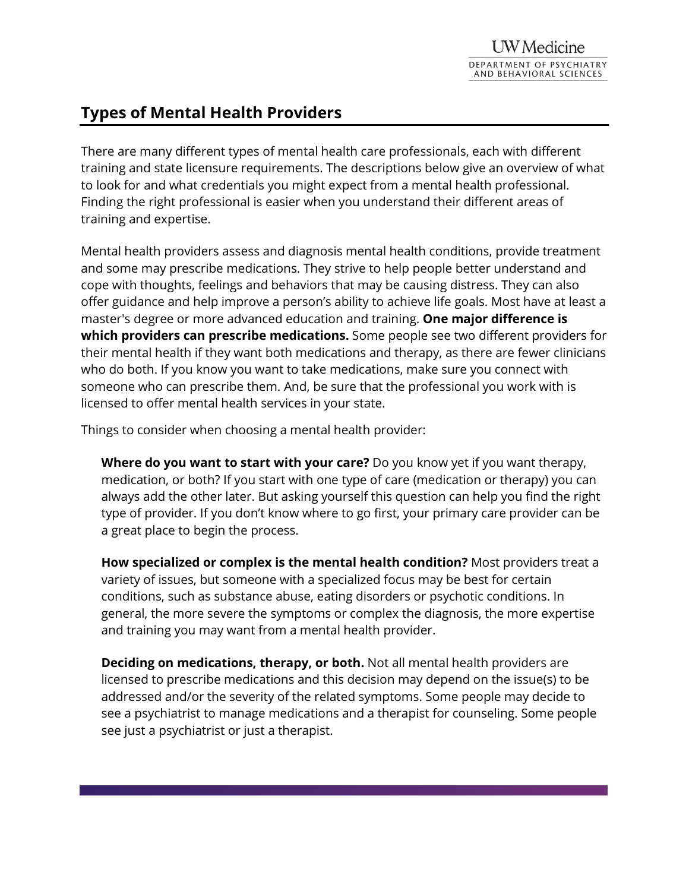# **Types of Mental Health Providers**

There are many different types of mental health care professionals, each with different training and state licensure requirements. The descriptions below give an overview of what to look for and what credentials you might expect from a mental health professional. Finding the right professional is easier when you understand their different areas of training and expertise.

Mental health providers assess and diagnosis mental health conditions, provide treatment and some may prescribe medications. They strive to help people better understand and cope with thoughts, feelings and behaviors that may be causing distress. They can also offer guidance and help improve a person's ability to achieve life goals. Most have at least a master's degree or more advanced education and training. **One major difference is which providers can prescribe medications.** Some people see two different providers for their mental health if they want both medications and therapy, as there are fewer clinicians who do both. If you know you want to take medications, make sure you connect with someone who can prescribe them. And, be sure that the professional you work with is licensed to offer mental health services in your state.

Things to consider when choosing a mental health provider:

**Where do you want to start with your care?** Do you know yet if you want therapy, medication, or both? If you start with one type of care (medication or therapy) you can always add the other later. But asking yourself this question can help you find the right type of provider. If you don't know where to go first, your primary care provider can be a great place to begin the process.

**How specialized or complex is the mental health condition?** Most providers treat a variety of issues, but someone with a specialized focus may be best for certain conditions, such as substance abuse, eating disorders or psychotic conditions. In general, the more severe the symptoms or complex the diagnosis, the more expertise and training you may want from a mental health provider.

**Deciding on medications, therapy, or both.** Not all mental health providers are licensed to prescribe medications and this decision may depend on the issue(s) to be addressed and/or the severity of the related symptoms. Some people may decide to see a psychiatrist to manage medications and a therapist for counseling. Some people see just a psychiatrist or just a therapist.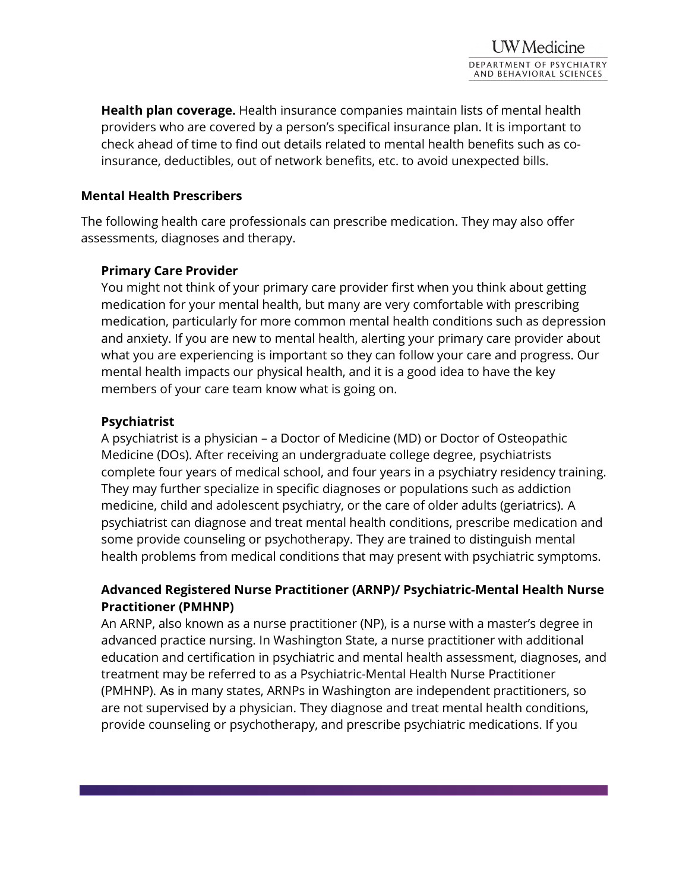**Health plan coverage.** Health insurance companies maintain lists of mental health providers who are covered by a person's specifical insurance plan. It is important to check ahead of time to find out details related to mental health benefits such as coinsurance, deductibles, out of network benefits, etc. to avoid unexpected bills.

#### **Mental Health Prescribers**

The following health care professionals can prescribe medication. They may also offer assessments, diagnoses and therapy.

### **Primary Care Provider**

You might not think of your primary care provider first when you think about getting medication for your mental health, but many are very comfortable with prescribing medication, particularly for more common mental health conditions such as depression and anxiety. If you are new to mental health, alerting your primary care provider about what you are experiencing is important so they can follow your care and progress. Our mental health impacts our physical health, and it is a good idea to have the key members of your care team know what is going on.

### **Psychiatrist**

A psychiatrist is a physician – a Doctor of Medicine (MD) or Doctor of Osteopathic Medicine (DOs). After receiving an undergraduate college degree, psychiatrists complete four years of medical school, and four years in a psychiatry residency training. They may further specialize in specific diagnoses or populations such as addiction medicine, child and adolescent psychiatry, or the care of older adults (geriatrics). A psychiatrist can diagnose and treat mental health conditions, prescribe medication and some provide counseling or psychotherapy. They are trained to distinguish mental health problems from medical conditions that may present with psychiatric symptoms.

# **Advanced Registered Nurse Practitioner (ARNP)/ Psychiatric-Mental Health Nurse Practitioner (PMHNP)**

An ARNP, also known as a nurse practitioner (NP), is a nurse with a master's degree in advanced practice nursing. In Washington State, a nurse practitioner with additional education and certification in psychiatric and mental health assessment, diagnoses, and treatment may be referred to as a Psychiatric-Mental Health Nurse Practitioner (PMHNP). As in many states, ARNPs in Washington are independent practitioners, so are not supervised by a physician. They diagnose and treat mental health conditions, provide counseling or psychotherapy, and prescribe psychiatric medications. If you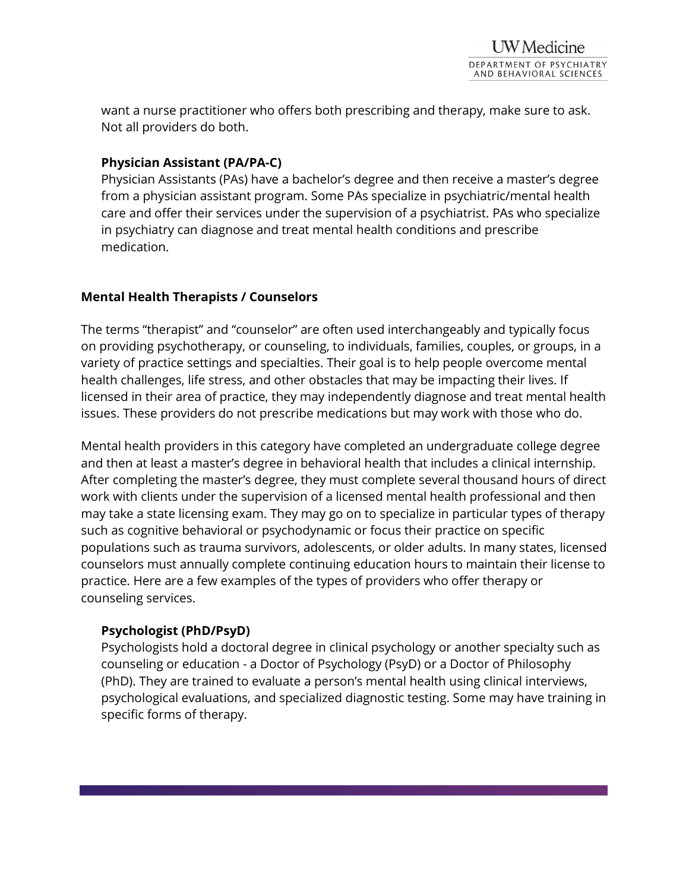want a nurse practitioner who offers both prescribing and therapy, make sure to ask. Not all providers do both.

### **Physician Assistant (PA/PA-C)**

Physician Assistants (PAs) have a bachelor's degree and then receive a master's degree from a physician assistant program. Some PAs specialize in psychiatric/mental health care and offer their services under the supervision of a psychiatrist. PAs who specialize in psychiatry can diagnose and treat mental health conditions and prescribe medication.

### **Mental Health Therapists / Counselors**

The terms "therapist" and "counselor" are often used interchangeably and typically focus on providing psychotherapy, or counseling, to individuals, families, couples, or groups, in a variety of practice settings and specialties. Their goal is to help people overcome mental health challenges, life stress, and other obstacles that may be impacting their lives. If licensed in their area of practice, they may independently diagnose and treat mental health issues. These providers do not prescribe medications but may work with those who do.

Mental health providers in this category have completed an undergraduate college degree and then at least a master's degree in behavioral health that includes a clinical internship. After completing the master's degree, they must complete several thousand hours of direct work with clients under the supervision of a licensed mental health professional and then may take a state licensing exam. They may go on to specialize in particular types of therapy such as cognitive behavioral or psychodynamic or focus their practice on specific populations such as trauma survivors, adolescents, or older adults. In many states, licensed counselors must annually complete continuing education hours to maintain their license to practice. Here are a few examples of the types of providers who offer therapy or counseling services.

#### **Psychologist (PhD/PsyD)**

Psychologists hold a doctoral degree in clinical psychology or another specialty such as counseling or education - a Doctor of Psychology (PsyD) or a Doctor of Philosophy (PhD). They are trained to evaluate a person's mental health using clinical interviews, psychological evaluations, and specialized diagnostic testing. Some may have training in specific forms of therapy.